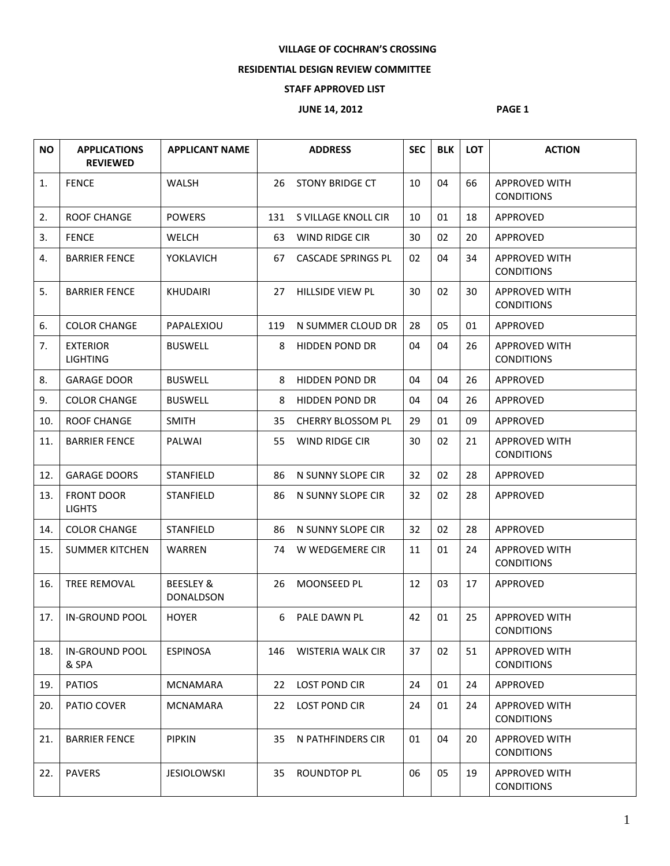## **VILLAGE OF COCHRAN'S CROSSING**

## **RESIDENTIAL DESIGN REVIEW COMMITTEE**

## **STAFF APPROVED LIST**

## **JUNE 14, 2012 PAGE 1**

| <b>NO</b> | <b>APPLICATIONS</b><br><b>REVIEWED</b> | <b>APPLICANT NAME</b>                    |     | <b>ADDRESS</b>            | <b>SEC</b> | <b>BLK</b> | <b>LOT</b> | <b>ACTION</b>                             |
|-----------|----------------------------------------|------------------------------------------|-----|---------------------------|------------|------------|------------|-------------------------------------------|
| 1.        | <b>FENCE</b>                           | WALSH                                    | 26  | <b>STONY BRIDGE CT</b>    | 10         | 04         | 66         | <b>APPROVED WITH</b><br><b>CONDITIONS</b> |
| 2.        | <b>ROOF CHANGE</b>                     | <b>POWERS</b>                            | 131 | S VILLAGE KNOLL CIR       | 10         | 01         | 18         | APPROVED                                  |
| 3.        | <b>FENCE</b>                           | <b>WELCH</b>                             | 63  | WIND RIDGE CIR            | 30         | 02         | 20         | <b>APPROVED</b>                           |
| 4.        | <b>BARRIER FENCE</b>                   | <b>YOKLAVICH</b>                         | 67  | <b>CASCADE SPRINGS PL</b> | 02         | 04         | 34         | <b>APPROVED WITH</b><br><b>CONDITIONS</b> |
| 5.        | <b>BARRIER FENCE</b>                   | <b>KHUDAIRI</b>                          | 27  | HILLSIDE VIEW PL          | 30         | 02         | 30         | <b>APPROVED WITH</b><br><b>CONDITIONS</b> |
| 6.        | <b>COLOR CHANGE</b>                    | PAPALEXIOU                               | 119 | N SUMMER CLOUD DR         | 28         | 05         | 01         | APPROVED                                  |
| 7.        | <b>EXTERIOR</b><br><b>LIGHTING</b>     | <b>BUSWELL</b>                           | 8   | <b>HIDDEN POND DR</b>     | 04         | 04         | 26         | <b>APPROVED WITH</b><br><b>CONDITIONS</b> |
| 8.        | <b>GARAGE DOOR</b>                     | <b>BUSWELL</b>                           | 8   | <b>HIDDEN POND DR</b>     | 04         | 04         | 26         | APPROVED                                  |
| 9.        | <b>COLOR CHANGE</b>                    | <b>BUSWELL</b>                           | 8   | <b>HIDDEN POND DR</b>     | 04         | 04         | 26         | APPROVED                                  |
| 10.       | <b>ROOF CHANGE</b>                     | <b>SMITH</b>                             | 35  | <b>CHERRY BLOSSOM PL</b>  | 29         | 01         | 09         | APPROVED                                  |
| 11.       | <b>BARRIER FENCE</b>                   | PALWAI                                   | 55  | WIND RIDGE CIR            | 30         | 02         | 21         | <b>APPROVED WITH</b><br><b>CONDITIONS</b> |
| 12.       | <b>GARAGE DOORS</b>                    | STANFIELD                                | 86  | N SUNNY SLOPE CIR         | 32         | 02         | 28         | APPROVED                                  |
| 13.       | <b>FRONT DOOR</b><br><b>LIGHTS</b>     | <b>STANFIELD</b>                         | 86  | N SUNNY SLOPE CIR         | 32         | 02         | 28         | <b>APPROVED</b>                           |
| 14.       | <b>COLOR CHANGE</b>                    | <b>STANFIELD</b>                         | 86  | N SUNNY SLOPE CIR         | 32         | 02         | 28         | APPROVED                                  |
| 15.       | <b>SUMMER KITCHEN</b>                  | WARREN                                   | 74  | W WEDGEMERE CIR           | 11         | 01         | 24         | <b>APPROVED WITH</b><br><b>CONDITIONS</b> |
| 16.       | TREE REMOVAL                           | <b>BEESLEY &amp;</b><br><b>DONALDSON</b> | 26  | <b>MOONSEED PL</b>        | 12         | 03         | 17         | APPROVED                                  |
| 17.       | <b>IN-GROUND POOL</b>                  | <b>HOYER</b>                             | 6   | PALE DAWN PL              | 42         | 01         | 25         | <b>APPROVED WITH</b><br><b>CONDITIONS</b> |
| 18.       | IN-GROUND POOL<br>& SPA                | <b>ESPINOSA</b>                          | 146 | WISTERIA WALK CIR         | 37         | 02         | 51         | <b>APPROVED WITH</b><br><b>CONDITIONS</b> |
| 19.       | <b>PATIOS</b>                          | <b>MCNAMARA</b>                          | 22  | <b>LOST POND CIR</b>      | 24         | 01         | 24         | APPROVED                                  |
| 20.       | PATIO COVER                            | MCNAMARA                                 | 22  | LOST POND CIR             | 24         | 01         | 24         | <b>APPROVED WITH</b><br><b>CONDITIONS</b> |
| 21.       | <b>BARRIER FENCE</b>                   | <b>PIPKIN</b>                            | 35  | N PATHFINDERS CIR         | 01         | 04         | 20         | <b>APPROVED WITH</b><br><b>CONDITIONS</b> |
| 22.       | <b>PAVERS</b>                          | <b>JESIOLOWSKI</b>                       | 35  | ROUNDTOP PL               | 06         | 05         | 19         | <b>APPROVED WITH</b><br><b>CONDITIONS</b> |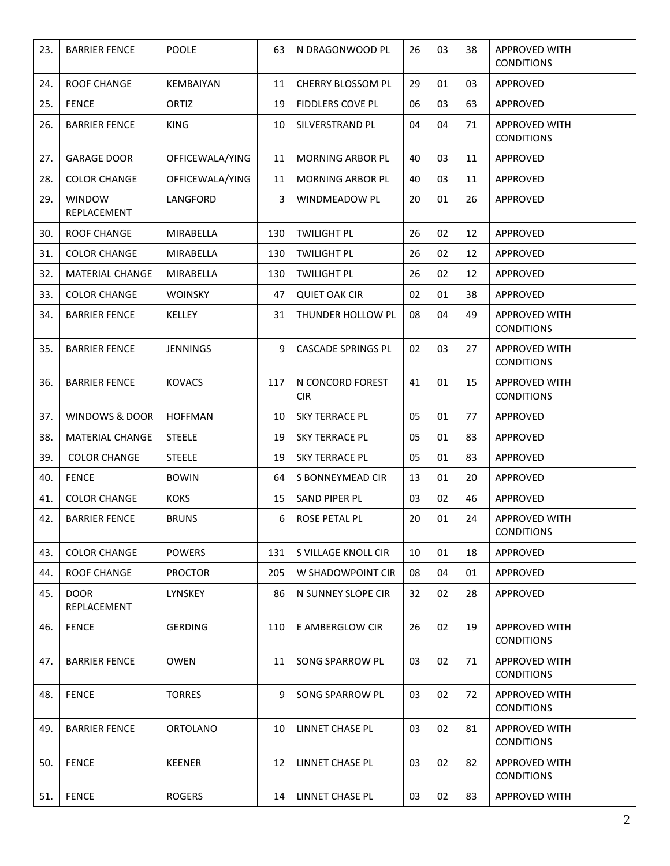| 23. | <b>BARRIER FENCE</b>       | POOLE            | 63  | N DRAGONWOOD PL                | 26 | 03 | 38 | <b>APPROVED WITH</b><br><b>CONDITIONS</b> |
|-----|----------------------------|------------------|-----|--------------------------------|----|----|----|-------------------------------------------|
| 24. | <b>ROOF CHANGE</b>         | <b>KEMBAIYAN</b> | 11  | <b>CHERRY BLOSSOM PL</b>       | 29 | 01 | 03 | APPROVED                                  |
| 25. | <b>FENCE</b>               | ORTIZ            | 19  | <b>FIDDLERS COVE PL</b>        | 06 | 03 | 63 | APPROVED                                  |
| 26. | <b>BARRIER FENCE</b>       | <b>KING</b>      | 10  | SILVERSTRAND PL                | 04 | 04 | 71 | <b>APPROVED WITH</b><br><b>CONDITIONS</b> |
| 27. | <b>GARAGE DOOR</b>         | OFFICEWALA/YING  | 11  | <b>MORNING ARBOR PL</b>        | 40 | 03 | 11 | APPROVED                                  |
| 28. | <b>COLOR CHANGE</b>        | OFFICEWALA/YING  | 11  | <b>MORNING ARBOR PL</b>        | 40 | 03 | 11 | APPROVED                                  |
| 29. | WINDOW<br>REPLACEMENT      | LANGFORD         | 3   | WINDMEADOW PL                  | 20 | 01 | 26 | APPROVED                                  |
| 30. | <b>ROOF CHANGE</b>         | MIRABELLA        | 130 | <b>TWILIGHT PL</b>             | 26 | 02 | 12 | APPROVED                                  |
| 31. | <b>COLOR CHANGE</b>        | MIRABELLA        | 130 | <b>TWILIGHT PL</b>             | 26 | 02 | 12 | APPROVED                                  |
| 32. | <b>MATERIAL CHANGE</b>     | MIRABELLA        | 130 | <b>TWILIGHT PL</b>             | 26 | 02 | 12 | APPROVED                                  |
| 33. | <b>COLOR CHANGE</b>        | <b>WOINSKY</b>   | 47  | <b>QUIET OAK CIR</b>           | 02 | 01 | 38 | APPROVED                                  |
| 34. | <b>BARRIER FENCE</b>       | <b>KELLEY</b>    | 31  | THUNDER HOLLOW PL              | 08 | 04 | 49 | <b>APPROVED WITH</b><br><b>CONDITIONS</b> |
| 35. | <b>BARRIER FENCE</b>       | <b>JENNINGS</b>  | 9   | <b>CASCADE SPRINGS PL</b>      | 02 | 03 | 27 | <b>APPROVED WITH</b><br><b>CONDITIONS</b> |
| 36. | <b>BARRIER FENCE</b>       | <b>KOVACS</b>    | 117 | N CONCORD FOREST<br><b>CIR</b> | 41 | 01 | 15 | <b>APPROVED WITH</b><br><b>CONDITIONS</b> |
| 37. | <b>WINDOWS &amp; DOOR</b>  | <b>HOFFMAN</b>   | 10  | <b>SKY TERRACE PL</b>          | 05 | 01 | 77 | APPROVED                                  |
| 38. | MATERIAL CHANGE            | <b>STEELE</b>    | 19  | <b>SKY TERRACE PL</b>          | 05 | 01 | 83 | APPROVED                                  |
| 39. | <b>COLOR CHANGE</b>        | <b>STEELE</b>    | 19  | <b>SKY TERRACE PL</b>          | 05 | 01 | 83 | APPROVED                                  |
| 40. | <b>FENCE</b>               | <b>BOWIN</b>     | 64  | S BONNEYMEAD CIR               | 13 | 01 | 20 | APPROVED                                  |
| 41. | <b>COLOR CHANGE</b>        | <b>KOKS</b>      | 15  | SAND PIPER PL                  | 03 | 02 | 46 | APPROVED                                  |
| 42. | <b>BARRIER FENCE</b>       | <b>BRUNS</b>     | 6   | ROSE PETAL PL                  | 20 | 01 | 24 | <b>APPROVED WITH</b><br><b>CONDITIONS</b> |
| 43. | <b>COLOR CHANGE</b>        | <b>POWERS</b>    | 131 | S VILLAGE KNOLL CIR            | 10 | 01 | 18 | APPROVED                                  |
| 44. | ROOF CHANGE                | <b>PROCTOR</b>   | 205 | W SHADOWPOINT CIR              | 08 | 04 | 01 | APPROVED                                  |
| 45. | <b>DOOR</b><br>REPLACEMENT | LYNSKEY          | 86  | N SUNNEY SLOPE CIR             | 32 | 02 | 28 | APPROVED                                  |
| 46. | <b>FENCE</b>               | <b>GERDING</b>   | 110 | E AMBERGLOW CIR                | 26 | 02 | 19 | <b>APPROVED WITH</b><br><b>CONDITIONS</b> |
| 47. | <b>BARRIER FENCE</b>       | <b>OWEN</b>      | 11  | SONG SPARROW PL                | 03 | 02 | 71 | <b>APPROVED WITH</b><br><b>CONDITIONS</b> |
| 48. | <b>FENCE</b>               | <b>TORRES</b>    | 9   | SONG SPARROW PL                | 03 | 02 | 72 | <b>APPROVED WITH</b><br><b>CONDITIONS</b> |
| 49. | <b>BARRIER FENCE</b>       | <b>ORTOLANO</b>  | 10  | LINNET CHASE PL                | 03 | 02 | 81 | <b>APPROVED WITH</b><br><b>CONDITIONS</b> |
| 50. | <b>FENCE</b>               | <b>KEENER</b>    | 12  | LINNET CHASE PL                | 03 | 02 | 82 | <b>APPROVED WITH</b><br><b>CONDITIONS</b> |
| 51. | <b>FENCE</b>               | <b>ROGERS</b>    | 14  | LINNET CHASE PL                | 03 | 02 | 83 | APPROVED WITH                             |
|     |                            |                  |     |                                |    |    |    |                                           |